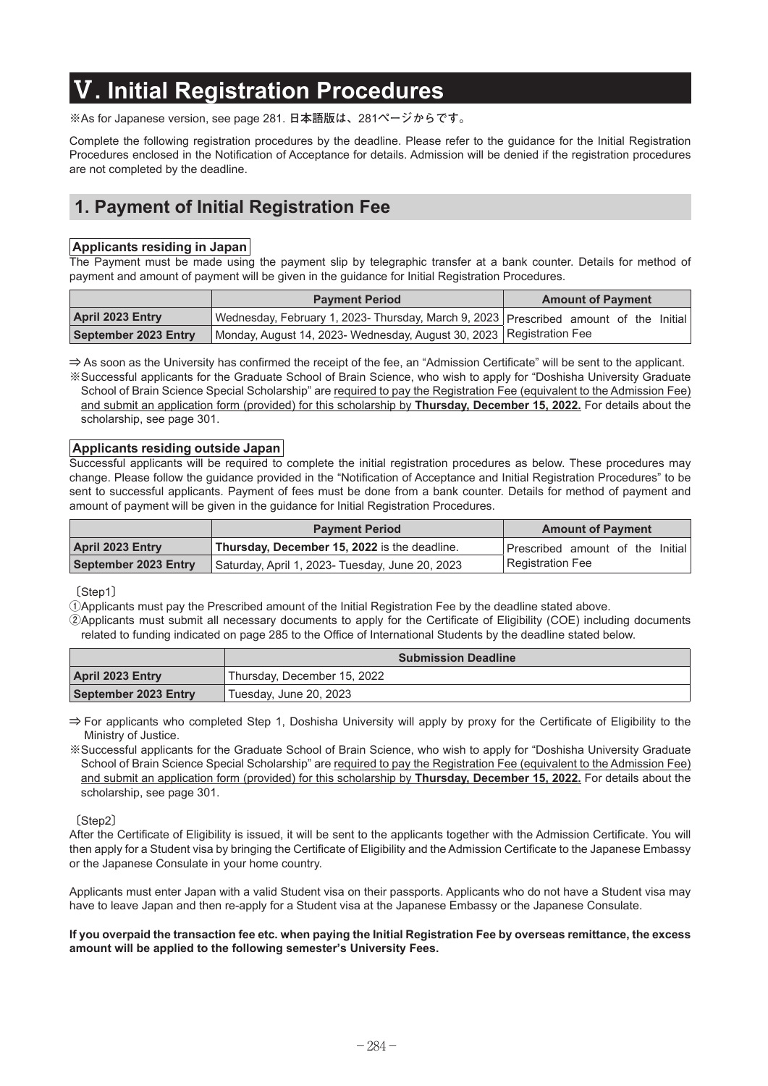# **Ⅴ. Initial Registration Procedures**

**※**As for Japanese version, see page 281. **日本語版は、**281**ページからです。**

Complete the following registration procedures by the deadline. Please refer to the guidance for the Initial Registration Procedures enclosed in the Notification of Acceptance for details. Admission will be denied if the registration procedures are not completed by the deadline.

## **1. Payment of Initial Registration Fee**

#### **Applicants residing in Japan**

The Payment must be made using the payment slip by telegraphic transfer at a bank counter. Details for method of payment and amount of payment will be given in the guidance for Initial Registration Procedures.

|                             | <b>Payment Period</b>                                                                     | <b>Amount of Payment</b> |
|-----------------------------|-------------------------------------------------------------------------------------------|--------------------------|
| <b>April 2023 Entry</b>     | ∆ Wednesday, February 1, 2023- Thursday, March 9, 2023   Prescribed amount of the Initial |                          |
| <b>September 2023 Entry</b> | Monday, August 14, 2023- Wednesday, August 30, 2023   Registration Fee                    |                          |

**⇒** As soon as the University has confirmed the receipt of the fee, an "Admission Certificate" will be sent to the applicant.

**※** Successful applicants for the Graduate School of Brain Science, who wish to apply for "Doshisha University Graduate School of Brain Science Special Scholarship" are required to pay the Registration Fee (equivalent to the Admission Fee) and submit an application form (provided) for this scholarship by **Thursday, December 15, 2022.** For details about the scholarship, see page 301.

#### **Applicants residing outside Japan**

Successful applicants will be required to complete the initial registration procedures as below. These procedures may change. Please follow the guidance provided in the "Notification of Acceptance and Initial Registration Procedures" to be sent to successful applicants. Payment of fees must be done from a bank counter. Details for method of payment and amount of payment will be given in the guidance for Initial Registration Procedures.

|                         | <b>Payment Period</b>                           | <b>Amount of Payment</b>         |
|-------------------------|-------------------------------------------------|----------------------------------|
| <b>April 2023 Entry</b> | Thursday, December 15, 2022 is the deadline.    | Prescribed amount of the Initial |
| September 2023 Entry    | Saturday, April 1, 2023- Tuesday, June 20, 2023 | Registration Fee                 |

#### **〔**Step1**〕**

**①**Applicants must pay the Prescribed amount of the Initial Registration Fee by the deadline stated above.

**②** Applicants must submit all necessary documents to apply for the Certificate of Eligibility (COE) including documents related to funding indicated on page 285 to the Office of International Students by the deadline stated below.

|                         | <b>Submission Deadline</b>  |  |
|-------------------------|-----------------------------|--|
| <b>April 2023 Entry</b> | Thursday, December 15, 2022 |  |
| September 2023 Entry    | Tuesday, June 20, 2023      |  |

**⇒** For applicants who completed Step 1, Doshisha University will apply by proxy for the Certificate of Eligibility to the Ministry of Justice.

**※** Successful applicants for the Graduate School of Brain Science, who wish to apply for "Doshisha University Graduate School of Brain Science Special Scholarship" are required to pay the Registration Fee (equivalent to the Admission Fee) and submit an application form (provided) for this scholarship by **Thursday, December 15, 2022.** For details about the scholarship, see page 301.

**〔**Step2**〕**

After the Certificate of Eligibility is issued, it will be sent to the applicants together with the Admission Certificate. You will then apply for a Student visa by bringing the Certificate of Eligibility and the Admission Certificate to the Japanese Embassy or the Japanese Consulate in your home country.

Applicants must enter Japan with a valid Student visa on their passports. Applicants who do not have a Student visa may have to leave Japan and then re-apply for a Student visa at the Japanese Embassy or the Japanese Consulate.

**If you overpaid the transaction fee etc. when paying the Initial Registration Fee by overseas remittance, the excess amount will be applied to the following semester's University Fees.**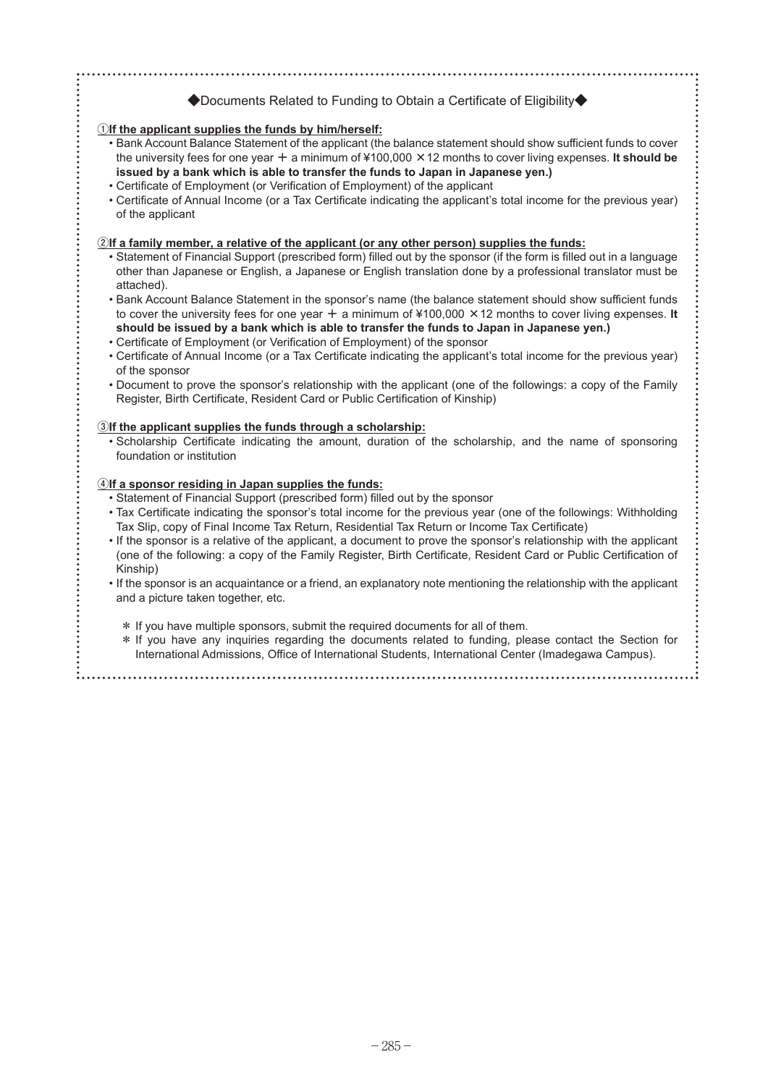### **◆**Documents Related to Funding to Obtain a Certificate of Eligibility**◆**

#### **①If the applicant supplies the funds by him/herself:**

- Bank Account Balance Statement of the applicant (the balance statement should show sufficient funds to cover the university fees for one year **+** a minimum of ¥100,000 **×**12 months to cover living expenses. **It should be issued by a bank which is able to transfer the funds to Japan in Japanese yen.)**
- Certificate of Employment (or Verification of Employment) of the applicant
- Certificate of Annual Income (or a Tax Certificate indicating the applicant's total income for the previous year) of the applicant

#### **②If a family member, a relative of the applicant (or any other person) supplies the funds:**

- Statement of Financial Support (prescribed form) filled out by the sponsor (if the form is filled out in a language other than Japanese or English, a Japanese or English translation done by a professional translator must be attached).
- Bank Account Balance Statement in the sponsor's name (the balance statement should show sufficient funds to cover the university fees for one year **+** a minimum of ¥100,000 **×**12 months to cover living expenses. **It should be issued by a bank which is able to transfer the funds to Japan in Japanese yen.)**
- Certificate of Employment (or Verification of Employment) of the sponsor
- Certificate of Annual Income (or a Tax Certificate indicating the applicant's total income for the previous year) of the sponsor
- Document to prove the sponsor's relationship with the applicant (one of the followings: a copy of the Family Register, Birth Certificate, Resident Card or Public Certification of Kinship)

#### **③If the applicant supplies the funds through a scholarship:**

• Scholarship Certificate indicating the amount, duration of the scholarship, and the name of sponsoring foundation or institution

#### **④If a sponsor residing in Japan supplies the funds:**

- Statement of Financial Support (prescribed form) filled out by the sponsor
- Tax Certificate indicating the sponsor's total income for the previous year (one of the followings: Withholding Tax Slip, copy of Final Income Tax Return, Residential Tax Return or Income Tax Certificate)
- If the sponsor is a relative of the applicant, a document to prove the sponsor's relationship with the applicant (one of the following: a copy of the Family Register, Birth Certificate, Resident Card or Public Certification of Kinship)
- If the sponsor is an acquaintance or a friend, an explanatory note mentioning the relationship with the applicant and a picture taken together, etc.

 **\*** If you have multiple sponsors, submit the required documents for all of them.

 **\*** If you have any inquiries regarding the documents related to funding, please contact the Section for International Admissions, Office of International Students, International Center (Imadegawa Campus).